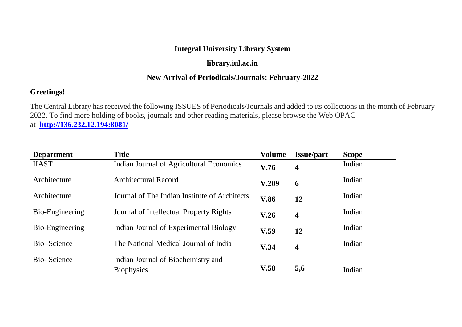# **Integral University Library System**

# **[library.iul.ac.in](http://library.iul.ac.in/)**

# **New Arrival of Periodicals/Journals: February-2022**

# **Greetings!**

The Central Library has received the following ISSUES of Periodicals/Journals and added to its collections in the month of February 2022. To find more holding of books, journals and other reading materials, please browse the Web OPAC at **<http://136.232.12.194:8081/>**

| <b>Department</b>  | <b>Title</b>                                            | <b>Volume</b>                   | <b>Issue/part</b> | <b>Scope</b> |
|--------------------|---------------------------------------------------------|---------------------------------|-------------------|--------------|
| <b>IIAST</b>       | Indian Journal of Agricultural Economics                | V.76<br>$\overline{\mathbf{4}}$ |                   | Indian       |
| Architecture       | <b>Architectural Record</b>                             | V.209<br>6                      |                   | Indian       |
| Architecture       | Journal of The Indian Institute of Architects           | <b>V.86</b>                     | 12                | Indian       |
| Bio-Engineering    | Journal of Intellectual Property Rights                 | V.26                            | $\boldsymbol{4}$  | Indian       |
| Bio-Engineering    | Indian Journal of Experimental Biology                  | V.59<br>12                      |                   | Indian       |
| Bio-Science        | The National Medical Journal of India                   | $\overline{\mathbf{4}}$<br>V.34 |                   | Indian       |
| <b>Bio-Science</b> | Indian Journal of Biochemistry and<br><b>Biophysics</b> | V.58                            | 5,6               | Indian       |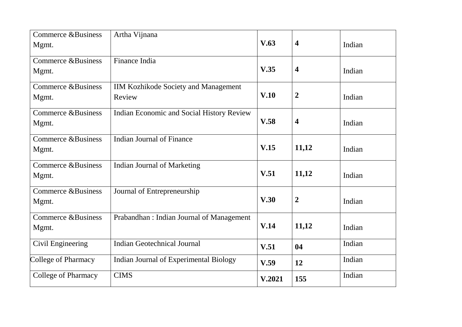| <b>Commerce &amp;Business</b><br>Mgmt. | Artha Vijnana<br>V.63                                 |                                 | $\overline{\mathbf{4}}$ | Indian |
|----------------------------------------|-------------------------------------------------------|---------------------------------|-------------------------|--------|
| <b>Commerce &amp;Business</b><br>Mgmt. | Finance India                                         | V.35<br>$\overline{\mathbf{4}}$ |                         | Indian |
| <b>Commerce &amp;Business</b><br>Mgmt. | <b>IIM Kozhikode Society and Management</b><br>Review | V.10                            | $\boldsymbol{2}$        | Indian |
| <b>Commerce &amp;Business</b><br>Mgmt. | Indian Economic and Social History Review             | V.58                            | $\overline{\mathbf{4}}$ | Indian |
| <b>Commerce &amp;Business</b><br>Mgmt. | <b>Indian Journal of Finance</b>                      | V.15                            | 11,12                   | Indian |
| Commerce &Business<br>Mgmt.            | <b>Indian Journal of Marketing</b>                    | V.51                            | 11,12                   | Indian |
| Commerce & Business<br>Mgmt.           | Journal of Entrepreneurship                           | V.30                            | $\boldsymbol{2}$        | Indian |
| <b>Commerce &amp;Business</b><br>Mgmt. | Prabandhan: Indian Journal of Management              | V.14                            | 11,12                   | Indian |
| Civil Engineering                      | <b>Indian Geotechnical Journal</b>                    | V.51                            | 04                      | Indian |
| College of Pharmacy                    | Indian Journal of Experimental Biology                | V.59                            | 12                      | Indian |
| <b>College of Pharmacy</b>             | <b>CIMS</b>                                           | V.2021                          | 155                     | Indian |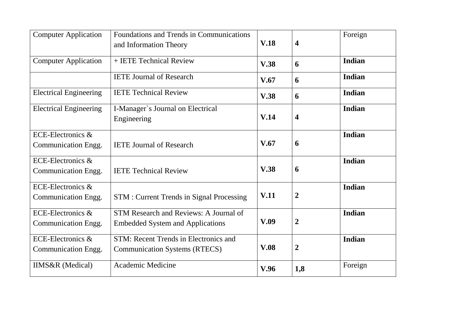| <b>Computer Application</b>              | Foundations and Trends in Communications<br>and Information Theory                | V.18<br>$\overline{\mathbf{4}}$ |                         | Foreign |
|------------------------------------------|-----------------------------------------------------------------------------------|---------------------------------|-------------------------|---------|
| <b>Computer Application</b>              | + IETE Technical Review                                                           | V.38                            | 6                       | Indian  |
|                                          | <b>IETE Journal of Research</b>                                                   | V.67                            | 6                       | Indian  |
| <b>Electrical Engineering</b>            | <b>IETE Technical Review</b>                                                      | V.38                            | 6                       | Indian  |
| <b>Electrical Engineering</b>            | I-Manager's Journal on Electrical<br>Engineering                                  | V.14                            | $\overline{\mathbf{4}}$ | Indian  |
| ECE-Electronics &<br>Communication Engg. | <b>IETE Journal of Research</b>                                                   | V.67                            | 6                       | Indian  |
| ECE-Electronics &<br>Communication Engg. | <b>IETE Technical Review</b>                                                      | V.38                            | 6                       | Indian  |
| ECE-Electronics &<br>Communication Engg. | <b>STM</b> : Current Trends in Signal Processing                                  | V.11                            | $\overline{2}$          | Indian  |
| ECE-Electronics &<br>Communication Engg. | STM Research and Reviews: A Journal of<br><b>Embedded System and Applications</b> | V.09                            | $\overline{2}$          | Indian  |
| ECE-Electronics &<br>Communication Engg. | STM: Recent Trends in Electronics and<br><b>Communication Systems (RTECS)</b>     | V.08                            | $\overline{2}$          | Indian  |
| <b>IIMS&amp;R</b> (Medical)              | Academic Medicine                                                                 | V.96                            | 1,8                     | Foreign |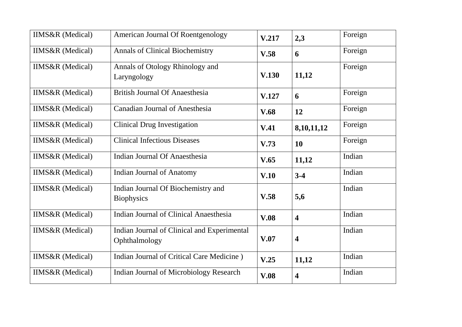| <b>IIMS&amp;R</b> (Medical) | American Journal Of Roentgenology                            | V.217                 | 2,3                     | Foreign |
|-----------------------------|--------------------------------------------------------------|-----------------------|-------------------------|---------|
| <b>IIMS&amp;R</b> (Medical) | <b>Annals of Clinical Biochemistry</b>                       | V.58<br>6             |                         | Foreign |
| <b>IIMS&amp;R</b> (Medical) | Annals of Otology Rhinology and<br>Laryngology               | 11,12<br><b>V.130</b> |                         | Foreign |
| <b>IIMS&amp;R</b> (Medical) | <b>British Journal Of Anaesthesia</b>                        | V.127                 | 6                       | Foreign |
| <b>IIMS&amp;R</b> (Medical) | <b>Canadian Journal of Anesthesia</b>                        | <b>V.68</b>           | 12                      | Foreign |
| <b>IIMS&amp;R</b> (Medical) | <b>Clinical Drug Investigation</b>                           | V.41                  | 8,10,11,12              | Foreign |
| <b>IIMS&amp;R</b> (Medical) | <b>Clinical Infectious Diseases</b>                          | V.73                  | <b>10</b>               | Foreign |
| <b>IIMS&amp;R</b> (Medical) | <b>Indian Journal Of Anaesthesia</b>                         | V.65                  | 11,12                   | Indian  |
| <b>IIMS&amp;R</b> (Medical) | <b>Indian Journal of Anatomy</b>                             | V.10                  | $3-4$                   | Indian  |
| <b>IIMS&amp;R</b> (Medical) | Indian Journal Of Biochemistry and<br><b>Biophysics</b>      | V.58                  | 5,6                     | Indian  |
| <b>IIMS&amp;R</b> (Medical) | <b>Indian Journal of Clinical Anaesthesia</b>                | V.08                  | $\overline{\mathbf{4}}$ | Indian  |
| <b>IIMS&amp;R</b> (Medical) | Indian Journal of Clinical and Experimental<br>Ophthalmology | V.07                  | $\overline{\mathbf{4}}$ | Indian  |
| <b>IIMS&amp;R</b> (Medical) | Indian Journal of Critical Care Medicine)                    | V.25                  | 11,12                   | Indian  |
| <b>IIMS&amp;R</b> (Medical) | <b>Indian Journal of Microbiology Research</b>               | V.08                  | $\overline{\mathbf{4}}$ | Indian  |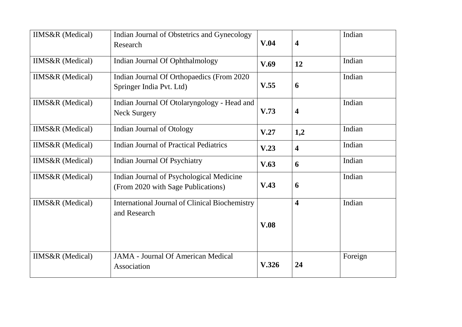| <b>IIMS&amp;R</b> (Medical) | Indian Journal of Obstetrics and Gynecology<br>Research                        | V.04<br>$\overline{\mathbf{4}}$ |                         | Indian  |
|-----------------------------|--------------------------------------------------------------------------------|---------------------------------|-------------------------|---------|
| <b>IIMS&amp;R</b> (Medical) | Indian Journal Of Ophthalmology                                                | V.69                            | 12                      | Indian  |
| <b>IIMS&amp;R</b> (Medical) | Indian Journal Of Orthopaedics (From 2020)<br>Springer India Pvt. Ltd)         | V.55<br>6                       |                         | Indian  |
| <b>IIMS&amp;R</b> (Medical) | Indian Journal Of Otolaryngology - Head and<br><b>Neck Surgery</b>             | V.73                            | $\overline{\mathbf{4}}$ | Indian  |
| <b>IIMS&amp;R</b> (Medical) | <b>Indian Journal of Otology</b>                                               | V.27                            | 1,2                     | Indian  |
| <b>IIMS&amp;R</b> (Medical) | <b>Indian Journal of Practical Pediatrics</b>                                  | V.23                            | $\overline{\mathbf{4}}$ | Indian  |
| <b>IIMS&amp;R</b> (Medical) | <b>Indian Journal Of Psychiatry</b>                                            | V.63                            | 6                       | Indian  |
| IIMS&R (Medical)            | Indian Journal of Psychological Medicine<br>(From 2020 with Sage Publications) | V.43                            | 6                       | Indian  |
| IIMS&R (Medical)            | <b>International Journal of Clinical Biochemistry</b><br>and Research          |                                 | $\overline{\mathbf{4}}$ | Indian  |
|                             |                                                                                | V.08                            |                         |         |
| <b>IIMS&amp;R</b> (Medical) | <b>JAMA - Journal Of American Medical</b><br>Association                       | V.326                           | 24                      | Foreign |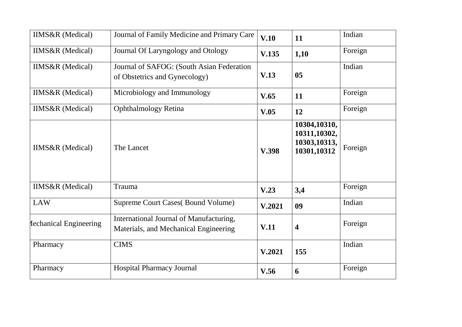| <b>IIMS&amp;R</b> (Medical)   | Journal of Family Medicine and Primary Care<br>V.10                              |                                 | 11                                                          | Indian  |
|-------------------------------|----------------------------------------------------------------------------------|---------------------------------|-------------------------------------------------------------|---------|
| <b>IIMS&amp;R</b> (Medical)   | Journal Of Laryngology and Otology                                               | V.135<br>1,10                   |                                                             | Foreign |
| <b>IIMS&amp;R</b> (Medical)   | Journal of SAFOG: (South Asian Federation<br>of Obstetrics and Gynecology)       | V.13<br>05                      |                                                             | Indian  |
| <b>IIMS&amp;R</b> (Medical)   | Microbiology and Immunology                                                      | V.65                            | 11                                                          | Foreign |
| <b>IIMS&amp;R</b> (Medical)   | <b>Ophthalmology Retina</b>                                                      | V.05                            | 12                                                          | Foreign |
| IIMS&R (Medical)              | The Lancet<br>V.398                                                              |                                 | 10304,10310,<br>10311,10302,<br>10303,10313,<br>10301,10312 | Foreign |
| IIMS&R (Medical)              | Trauma                                                                           | V.23                            | 3,4                                                         | Foreign |
| <b>LAW</b>                    | Supreme Court Cases (Bound Volume)<br>09<br>V.2021                               |                                 | Indian                                                      |         |
| <b>Iechanical Engineering</b> | International Journal of Manufacturing,<br>Materials, and Mechanical Engineering | V.11<br>$\overline{\mathbf{4}}$ |                                                             | Foreign |
| Pharmacy                      | <b>CIMS</b>                                                                      | V.2021                          | 155                                                         | Indian  |
| Pharmacy                      | <b>Hospital Pharmacy Journal</b>                                                 | V.56                            | 6                                                           | Foreign |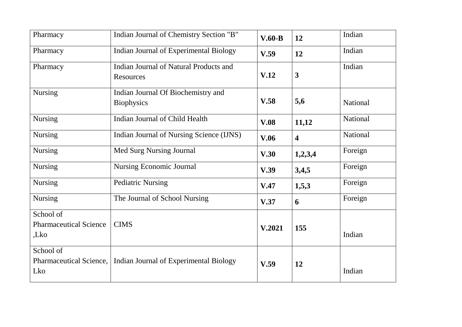| Pharmacy                                           | Indian Journal of Chemistry Section "B"                 | $V.60-B$<br>12                  |                         | Indian   |
|----------------------------------------------------|---------------------------------------------------------|---------------------------------|-------------------------|----------|
| Pharmacy                                           | Indian Journal of Experimental Biology                  | V.59<br>12                      |                         | Indian   |
| Pharmacy                                           | Indian Journal of Natural Products and<br>Resources     | $\overline{\mathbf{3}}$<br>V.12 |                         | Indian   |
| <b>Nursing</b>                                     | Indian Journal Of Biochemistry and<br><b>Biophysics</b> | V.58                            | 5,6                     | National |
| <b>Nursing</b>                                     | <b>Indian Journal of Child Health</b>                   | V.08                            | 11,12                   | National |
| <b>Nursing</b>                                     | Indian Journal of Nursing Science (IJNS)                | <b>V.06</b>                     | $\overline{\mathbf{4}}$ | National |
| <b>Nursing</b>                                     | Med Surg Nursing Journal                                | V.30                            | 1,2,3,4                 | Foreign  |
| <b>Nursing</b>                                     | <b>Nursing Economic Journal</b>                         | V.39                            | 3,4,5                   | Foreign  |
| <b>Nursing</b>                                     | <b>Pediatric Nursing</b>                                | V.47                            | 1,5,3                   | Foreign  |
| <b>Nursing</b>                                     | The Journal of School Nursing                           | V.37                            | 6                       | Foreign  |
| School of<br><b>Pharmaceutical Science</b><br>,Lko | <b>CIMS</b>                                             | V.2021                          | 155                     | Indian   |
| School of<br>Pharmaceutical Science,<br>Lko        | Indian Journal of Experimental Biology                  | V.59                            | 12                      | Indian   |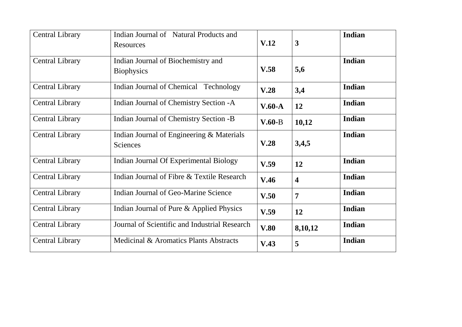| <b>Central Library</b> | Indian Journal of Natural Products and        |          |                         | Indian        |
|------------------------|-----------------------------------------------|----------|-------------------------|---------------|
|                        | Resources                                     | V.12     | $\mathbf{3}$            |               |
| <b>Central Library</b> | Indian Journal of Biochemistry and            |          |                         | Indian        |
|                        | <b>Biophysics</b>                             | V.58     | 5,6                     |               |
| <b>Central Library</b> | Indian Journal of Chemical Technology         | V.28     | 3,4                     | Indian        |
| <b>Central Library</b> | Indian Journal of Chemistry Section -A        | $V.60-A$ | 12                      | Indian        |
| <b>Central Library</b> | Indian Journal of Chemistry Section -B        | $V.60-B$ | <b>Indian</b><br>10,12  |               |
| <b>Central Library</b> | Indian Journal of Engineering & Materials     |          |                         | Indian        |
|                        | Sciences                                      | V.28     | 3,4,5                   |               |
| <b>Central Library</b> | <b>Indian Journal Of Experimental Biology</b> | V.59     | 12                      | Indian        |
| <b>Central Library</b> | Indian Journal of Fibre & Textile Research    | V.46     | $\overline{\mathbf{4}}$ | Indian        |
| <b>Central Library</b> | Indian Journal of Geo-Marine Science          | V.50     | $\overline{7}$          | <b>Indian</b> |
| <b>Central Library</b> | Indian Journal of Pure & Applied Physics      | V.59     | 12                      | Indian        |
| <b>Central Library</b> | Journal of Scientific and Industrial Research | V.80     | 8,10,12                 | Indian        |
| <b>Central Library</b> | Medicinal & Aromatics Plants Abstracts        | V.43     | 5                       | Indian        |